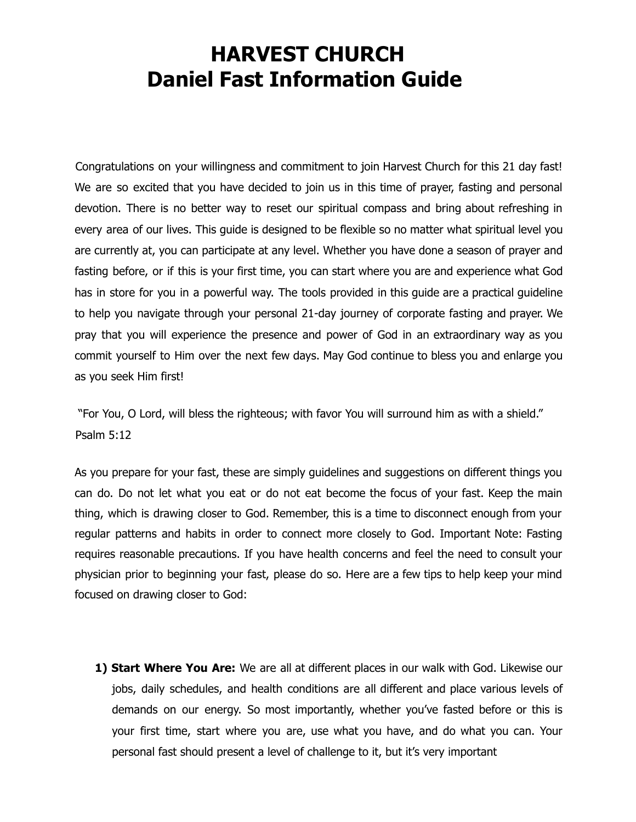## **HARVEST CHURCH Daniel Fast Information Guide**

Congratulations on your willingness and commitment to join Harvest Church for this 21 day fast! We are so excited that you have decided to join us in this time of prayer, fasting and personal devotion. There is no better way to reset our spiritual compass and bring about refreshing in every area of our lives. This guide is designed to be flexible so no matter what spiritual level you are currently at, you can participate at any level. Whether you have done a season of prayer and fasting before, or if this is your first time, you can start where you are and experience what God has in store for you in a powerful way. The tools provided in this guide are a practical guideline to help you navigate through your personal 21-day journey of corporate fasting and prayer. We pray that you will experience the presence and power of God in an extraordinary way as you commit yourself to Him over the next few days. May God continue to bless you and enlarge you as you seek Him first!

"For You, O Lord, will bless the righteous; with favor You will surround him as with a shield." Psalm 5:12

As you prepare for your fast, these are simply guidelines and suggestions on different things you can do. Do not let what you eat or do not eat become the focus of your fast. Keep the main thing, which is drawing closer to God. Remember, this is a time to disconnect enough from your regular patterns and habits in order to connect more closely to God. Important Note: Fasting requires reasonable precautions. If you have health concerns and feel the need to consult your physician prior to beginning your fast, please do so. Here are a few tips to help keep your mind focused on drawing closer to God:

**1) Start Where You Are:** We are all at different places in our walk with God. Likewise our jobs, daily schedules, and health conditions are all different and place various levels of demands on our energy. So most importantly, whether you've fasted before or this is your first time, start where you are, use what you have, and do what you can. Your personal fast should present a level of challenge to it, but it's very important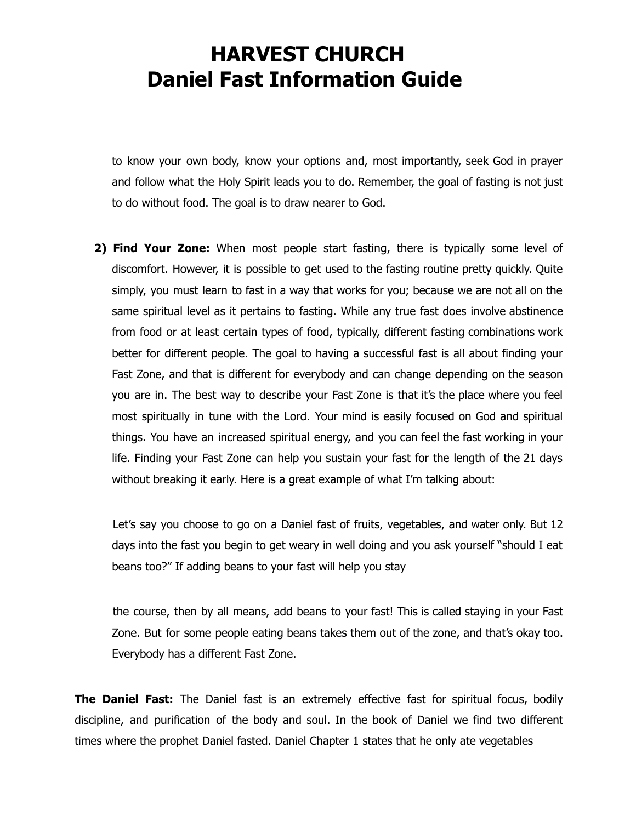## **HARVEST CHURCH Daniel Fast Information Guide**

to know your own body, know your options and, most importantly, seek God in prayer and follow what the Holy Spirit leads you to do. Remember, the goal of fasting is not just to do without food. The goal is to draw nearer to God.

**2) Find Your Zone:** When most people start fasting, there is typically some level of discomfort. However, it is possible to get used to the fasting routine pretty quickly. Quite simply, you must learn to fast in a way that works for you; because we are not all on the same spiritual level as it pertains to fasting. While any true fast does involve abstinence from food or at least certain types of food, typically, different fasting combinations work better for different people. The goal to having a successful fast is all about finding your Fast Zone, and that is different for everybody and can change depending on the season you are in. The best way to describe your Fast Zone is that it's the place where you feel most spiritually in tune with the Lord. Your mind is easily focused on God and spiritual things. You have an increased spiritual energy, and you can feel the fast working in your life. Finding your Fast Zone can help you sustain your fast for the length of the 21 days without breaking it early. Here is a great example of what I'm talking about:

Let's say you choose to go on a Daniel fast of fruits, vegetables, and water only. But 12 days into the fast you begin to get weary in well doing and you ask yourself "should I eat beans too?" If adding beans to your fast will help you stay

the course, then by all means, add beans to your fast! This is called staying in your Fast Zone. But for some people eating beans takes them out of the zone, and that's okay too. Everybody has a different Fast Zone.

**The Daniel Fast:** The Daniel fast is an extremely effective fast for spiritual focus, bodily discipline, and purification of the body and soul. In the book of Daniel we find two different times where the prophet Daniel fasted. Daniel Chapter 1 states that he only ate vegetables